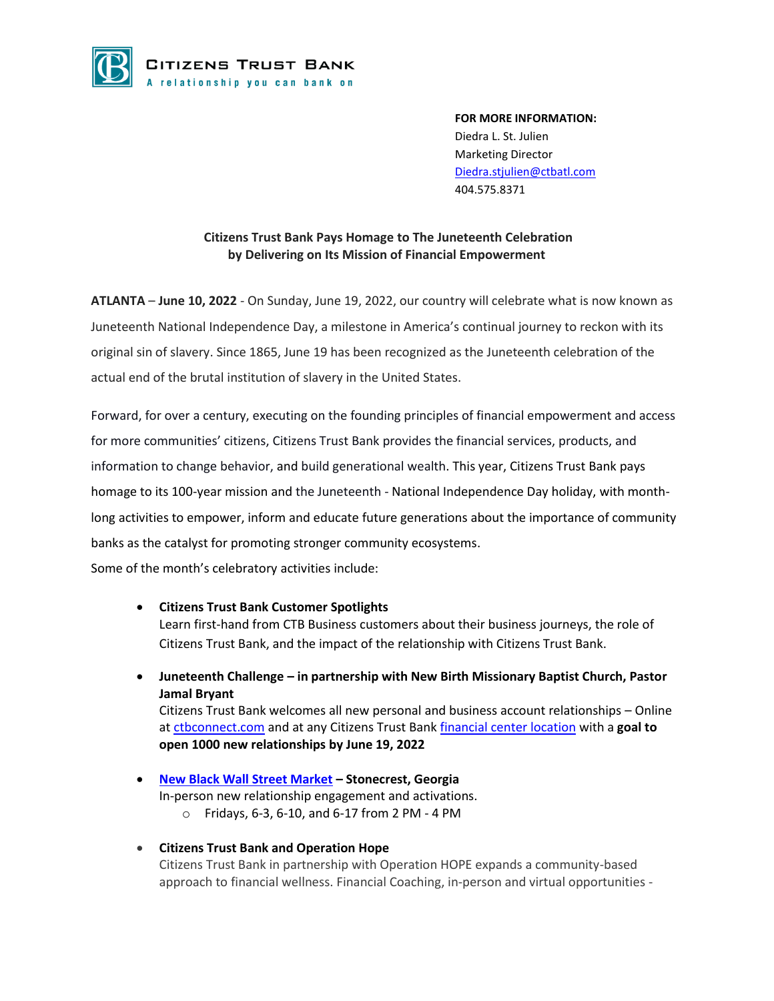

**FOR MORE INFORMATION:** Diedra L. St. Julien Marketing Director [Diedra.stjulien@ctbatl.com](mailto:Diedra.stjulien@ctbatl.com) 404.575.8371

## **Citizens Trust Bank Pays Homage to The Juneteenth Celebration by Delivering on Its Mission of Financial Empowerment**

**ATLANTA** – **June 10, 2022** - On Sunday, June 19, 2022, our country will celebrate what is now known as Juneteenth National Independence Day, a milestone in America's continual journey to reckon with its original sin of slavery. Since 1865, June 19 has been recognized as the Juneteenth celebration of the actual end of the brutal institution of slavery in the United States.

Forward, for over a century, executing on the founding principles of financial empowerment and access for more communities' citizens, Citizens Trust Bank provides the financial services, products, and information to change behavior, and build generational wealth. This year, Citizens Trust Bank pays homage to its 100-year mission and the Juneteenth - National Independence Day holiday, with monthlong activities to empower, inform and educate future generations about the importance of community banks as the catalyst for promoting stronger community ecosystems. Some of the month's celebratory activities include:

- **Citizens Trust Bank Customer Spotlights**  Learn first-hand from CTB Business customers about their business journeys, the role of Citizens Trust Bank, and the impact of the relationship with Citizens Trust Bank.
- **Juneteenth Challenge – in partnership with New Birth Missionary Baptist Church, Pastor Jamal Bryant**

Citizens Trust Bank welcomes all new personal and business account relationships – Online a[t ctbconnect.com](https://ctbconnect.com/) and at any Citizens Trust Bank [financial center location](https://ctbconnect.com/contact-us-locations/) with a **goal to open 1000 new relationships by June 19, 2022**

- **[New Black Wall Street Market](https://www.newblackwallstreetmarket.com/) – Stonecrest, Georgia** In-person new relationship engagement and activations. o Fridays, 6-3, 6-10, and 6-17 from 2 PM - 4 PM
- **Citizens Trust Bank and Operation Hope**  Citizens Trust Bank in partnership with Operation HOPE expands a community-based approach to financial wellness. Financial Coaching, in-person and virtual opportunities -